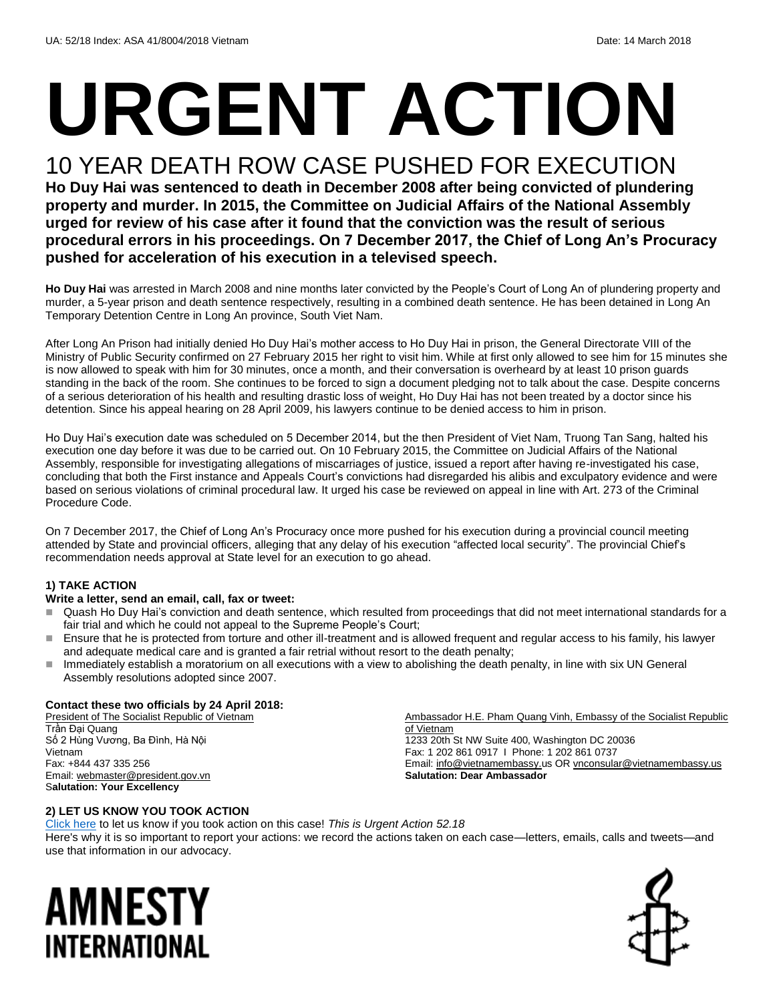# **URGENT ACTION**

## 10 YEAR DEATH ROW CASE PUSHED FOR EXECUTION

**Ho Duy Hai was sentenced to death in December 2008 after being convicted of plundering property and murder. In 2015, the Committee on Judicial Affairs of the National Assembly urged for review of his case after it found that the conviction was the result of serious procedural errors in his proceedings. On 7 December 2017, the Chief of Long An's Procuracy pushed for acceleration of his execution in a televised speech.** 

**Ho Duy Hai** was arrested in March 2008 and nine months later convicted by the People's Court of Long An of plundering property and murder, a 5-year prison and death sentence respectively, resulting in a combined death sentence. He has been detained in Long An Temporary Detention Centre in Long An province, South Viet Nam.

After Long An Prison had initially denied Ho Duy Hai's mother access to Ho Duy Hai in prison, the General Directorate VIII of the Ministry of Public Security confirmed on 27 February 2015 her right to visit him. While at first only allowed to see him for 15 minutes she is now allowed to speak with him for 30 minutes, once a month, and their conversation is overheard by at least 10 prison guards standing in the back of the room. She continues to be forced to sign a document pledging not to talk about the case. Despite concerns of a serious deterioration of his health and resulting drastic loss of weight, Ho Duy Hai has not been treated by a doctor since his detention. Since his appeal hearing on 28 April 2009, his lawyers continue to be denied access to him in prison.

Ho Duy Hai's execution date was scheduled on 5 December 2014, but the then President of Viet Nam, Truong Tan Sang, halted his execution one day before it was due to be carried out. On 10 February 2015, the Committee on Judicial Affairs of the National Assembly, responsible for investigating allegations of miscarriages of justice, issued a report after having re-investigated his case, concluding that both the First instance and Appeals Court's convictions had disregarded his alibis and exculpatory evidence and were based on serious violations of criminal procedural law. It urged his case be reviewed on appeal in line with Art. 273 of the Criminal Procedure Code.

On 7 December 2017, the Chief of Long An's Procuracy once more pushed for his execution during a provincial council meeting attended by State and provincial officers, alleging that any delay of his execution "affected local security". The provincial Chief's recommendation needs approval at State level for an execution to go ahead.

#### **1) TAKE ACTION**

#### **Write a letter, send an email, call, fax or tweet:**

- Quash Ho Duy Hai's conviction and death sentence, which resulted from proceedings that did not meet international standards for a fair trial and which he could not appeal to the Supreme People's Court;
- Ensure that he is protected from torture and other ill-treatment and is allowed frequent and regular access to his family, his lawyer and adequate medical care and is granted a fair retrial without resort to the death penalty;
- Immediately establish a moratorium on all executions with a view to abolishing the death penalty, in line with six UN General Assembly resolutions adopted since 2007.

#### **Contact these two officials by 24 April 2018:**

President of The Socialist Republic of Vietnam Trần Đại Quang Số 2 Hùng Vương, Ba Đình, Hà Nội Vietnam Fax: +844 437 335 256 Email[: webmaster@president.gov.vn](mailto:webmaster@president.gov.vn) S**alutation: Your Excellency**

Ambassador H.E. Pham Quang Vinh, Embassy of the Socialist Republic of Vietnam 1233 20th St NW Suite 400, Washington DC 20036 Fax: 1 202 861 0917 I Phone: 1 202 861 0737 Email[: info@vietnamembassy.u](mailto:info@vietnamembassy.)s OR [vnconsular@vietnamembassy.us](mailto:vnconsular@vietnamembassy.us) **Salutation: Dear Ambassador**

#### **2) LET US KNOW YOU TOOK ACTION**

[Click here](https://www.amnestyusa.org/report-urgent-actions/) to let us know if you took action on this case! *This is Urgent Action 52.18* Here's why it is so important to report your actions: we record the actions taken on each case—letters, emails, calls and tweets—and use that information in our advocacy.

## AMNESTY INTERNATIONAL